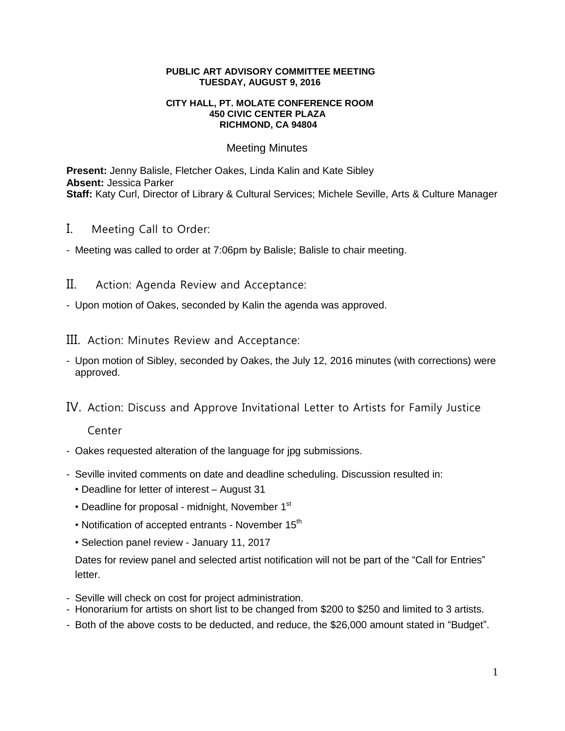## **PUBLIC ART ADVISORY COMMITTEE MEETING TUESDAY, AUGUST 9, 2016**

## **CITY HALL, PT. MOLATE CONFERENCE ROOM 450 CIVIC CENTER PLAZA RICHMOND, CA 94804**

## Meeting Minutes

**Present:** Jenny Balisle, Fletcher Oakes, Linda Kalin and Kate Sibley **Absent:** Jessica Parker **Staff:** Katy Curl, Director of Library & Cultural Services; Michele Seville, Arts & Culture Manager

- I. Meeting Call to Order:
- Meeting was called to order at 7:06pm by Balisle; Balisle to chair meeting.
- II. Action: Agenda Review and Acceptance:
- Upon motion of Oakes, seconded by Kalin the agenda was approved.
- III. Action: Minutes Review and Acceptance:
- Upon motion of Sibley, seconded by Oakes, the July 12, 2016 minutes (with corrections) were approved.
- IV. Action: Discuss and Approve Invitational Letter to Artists for Family Justice

Center

- Oakes requested alteration of the language for jpg submissions.
- Seville invited comments on date and deadline scheduling. Discussion resulted in:
	- Deadline for letter of interest August 31
	- Deadline for proposal midnight, November  $1<sup>st</sup>$
	- Notification of accepted entrants November  $15<sup>th</sup>$
	- Selection panel review January 11, 2017

Dates for review panel and selected artist notification will not be part of the "Call for Entries" letter.

- Seville will check on cost for project administration.
- Honorarium for artists on short list to be changed from \$200 to \$250 and limited to 3 artists.
- Both of the above costs to be deducted, and reduce, the \$26,000 amount stated in "Budget".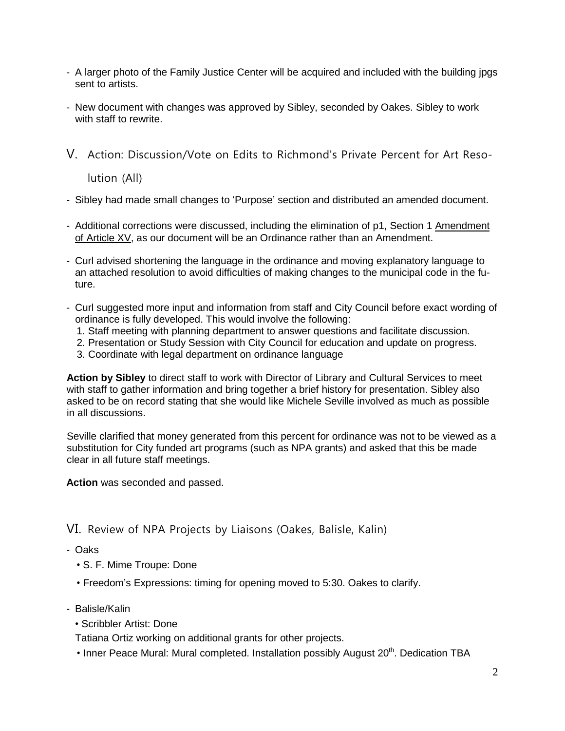- A larger photo of the Family Justice Center will be acquired and included with the building jpgs sent to artists.
- New document with changes was approved by Sibley, seconded by Oakes. Sibley to work with staff to rewrite.
- V. Action: Discussion/Vote on Edits to Richmond's Private Percent for Art Reso-

lution (All)

- Sibley had made small changes to 'Purpose' section and distributed an amended document.
- Additional corrections were discussed, including the elimination of p1, Section 1 Amendment of Article XV, as our document will be an Ordinance rather than an Amendment.
- Curl advised shortening the language in the ordinance and moving explanatory language to an attached resolution to avoid difficulties of making changes to the municipal code in the future.
- Curl suggested more input and information from staff and City Council before exact wording of ordinance is fully developed. This would involve the following:
	- 1. Staff meeting with planning department to answer questions and facilitate discussion.
	- 2. Presentation or Study Session with City Council for education and update on progress.
	- 3. Coordinate with legal department on ordinance language

**Action by Sibley** to direct staff to work with Director of Library and Cultural Services to meet with staff to gather information and bring together a brief history for presentation. Sibley also asked to be on record stating that she would like Michele Seville involved as much as possible in all discussions.

Seville clarified that money generated from this percent for ordinance was not to be viewed as a substitution for City funded art programs (such as NPA grants) and asked that this be made clear in all future staff meetings.

**Action** was seconded and passed.

VI. Review of NPA Projects by Liaisons (Oakes, Balisle, Kalin)

- Oaks
	- S. F. Mime Troupe: Done
	- Freedom's Expressions: timing for opening moved to 5:30. Oakes to clarify.
- Balisle/Kalin
	- Scribbler Artist: Done

Tatiana Ortiz working on additional grants for other projects.

• Inner Peace Mural: Mural completed. Installation possibly August  $20<sup>th</sup>$ . Dedication TBA